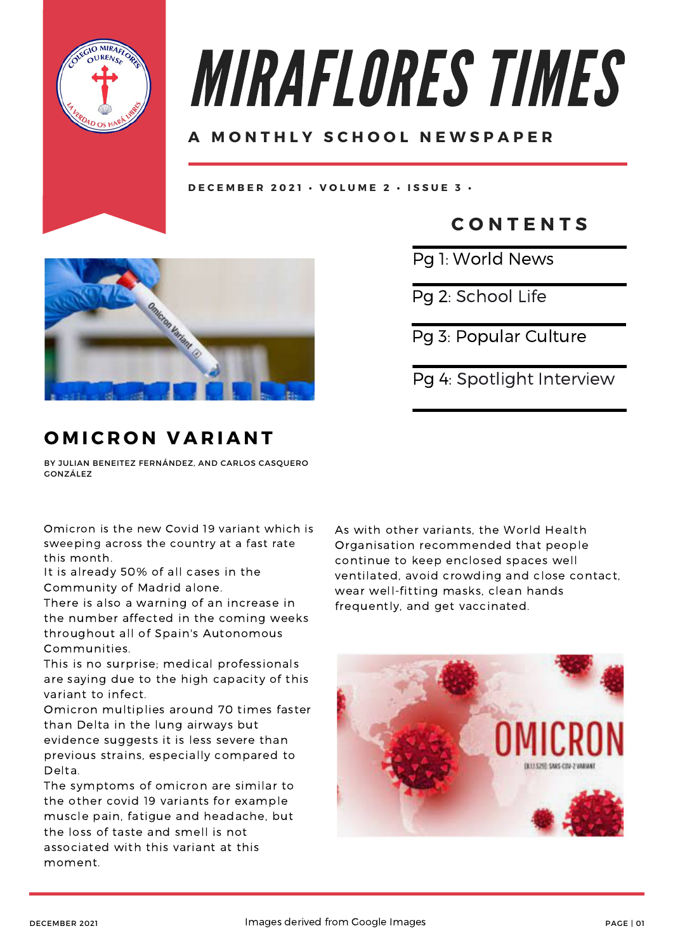

# MIRAFLORES TIMES

### **A M O N T H L Y S C H O O L N E W S P A P E R**

DECEMBER 2021 · VOLUME 2 · ISSUE 3 ·



## **O M I C R O N V A R I A N T**

BY JULIAN BENEITEZ FERNÁNDEZ, AND CARLOS CASQUERO GONZÁLEZ

Omicron is the new Covid 19 variant which is sweeping across the country at a fast rate this month.

It is already 50% of all cases in the Community of Madrid alone.

There is also a warning of an increase in the number affected in the coming weeks throughout all of Spain's Autonomous Communities.

This is no surprise; medical professionals are saying due to the high capacity of this variant to infect.

Omicron multiplies around 70 times faster than Delta in the lung airways but evidence suggests it is less severe than previous strains, especially compared to Delta.

The symptoms of omicron are similar to the other covid 19 variants for example muscle pain, fatigue and headache, but the loss of taste and smell is not associated with this variant at this moment.

**C O N T E N T S**

Pg 1: World News

Pg 2: School Life

Pg 3: Popular Culture

Pg 4: Spotlight Interview

As with other variants, the World Health Organisation recommended that people continue to keep enclosed spaces well ventilated, avoid crowding and close contact, wear well-fitting masks, clean hands frequently, and get vaccinated.

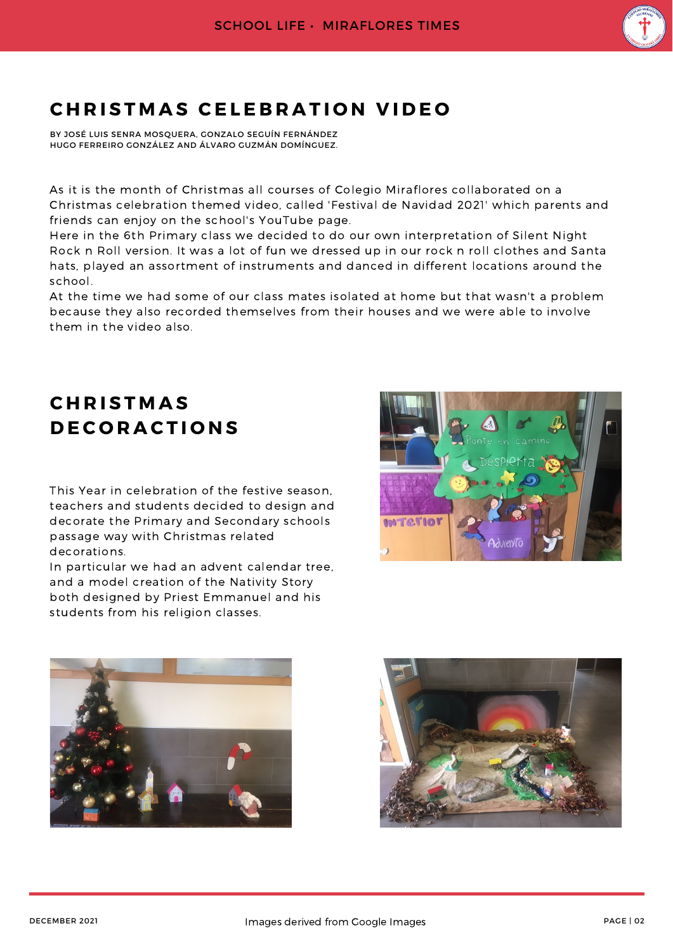

## $CHRISIMAS$  **CELEBRATION VIDEO**

BY JOSÉ LUIS SENRA MOSQUERA, GONZALO SEGUÍN FERNÁNDEZ HUGO FERREIRO GONZÁLEZ AND ÁLVARO GUZMÁN DOMÍNGUEZ.

As it is the month of Christmas all courses of Colegio Miraflores collaborated on a Christmas celebration themed video, called 'Festival de Navidad 2021' which parents and friends can enjoy on the school's YouTube page.

Here in the 6th Primary class we decided to do our own interpretation of Silent Night Rock n Roll version. It was a lot of fun we dressed up in our rock n roll clothes and Santa hats, played an assortment of instruments and danced in different locations around the school.

At the time we had some of our class mates isolated at home but that wasn't a problem because they also recorded themselves from their houses and we were able to involve them in the video also.

## **C H R I S T M A S D E C O R A C T I O N S**

This Year in celebration of the festive season, teachers and students decided to design and decorate the Primary and Secondary schools passage way with Christmas related decorations.

In particular we had an advent calendar tree, and a model creation of the Nativity Story both designed by Priest Emmanuel and his students from his religion classes.





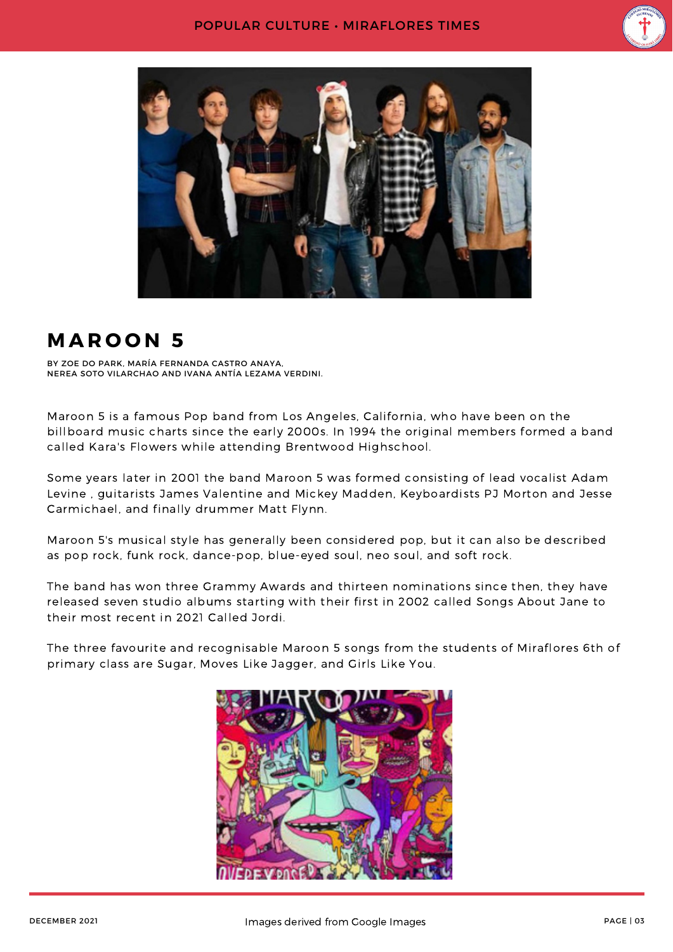



## **M A R O O N 5**

BY ZOE DO PARK, MARÍA FERNANDA CASTRO ANAYA, NEREA SOTO VILARCHAO AND IVANA ANTÍA LEZAMA VERDINI.

Maroon 5 is a famous Pop band from Los Angeles, California, who have been on the billboard music charts since the early 2000s. In 1994 the original members formed a band called Kara's Flowers while attending Brentwood Highschool.

Some years later in 2001 the band Maroon 5 was formed consisting of lead vocalist Adam Levine , guitarists James Valentine and Mickey Madden, Keyboardists PJ Morton and Jesse Carmichael, and finally drummer Matt Flynn.

Maroon 5's musical style has generally been considered pop, but it can also be described as pop rock, funk rock, dance-pop, blue-eyed soul, neo soul, and soft rock.

The band has won three Grammy Awards and thirteen nominations since then, they have released seven studio albums starting with their first in 2002 called Songs About Jane to their most recent in 2021 Called Jordi.

The three favourite and recognisable Maroon 5 songs from the students of Miraflores 6th of primary class are Sugar, Moves Like Jagger, and Girls Like You.